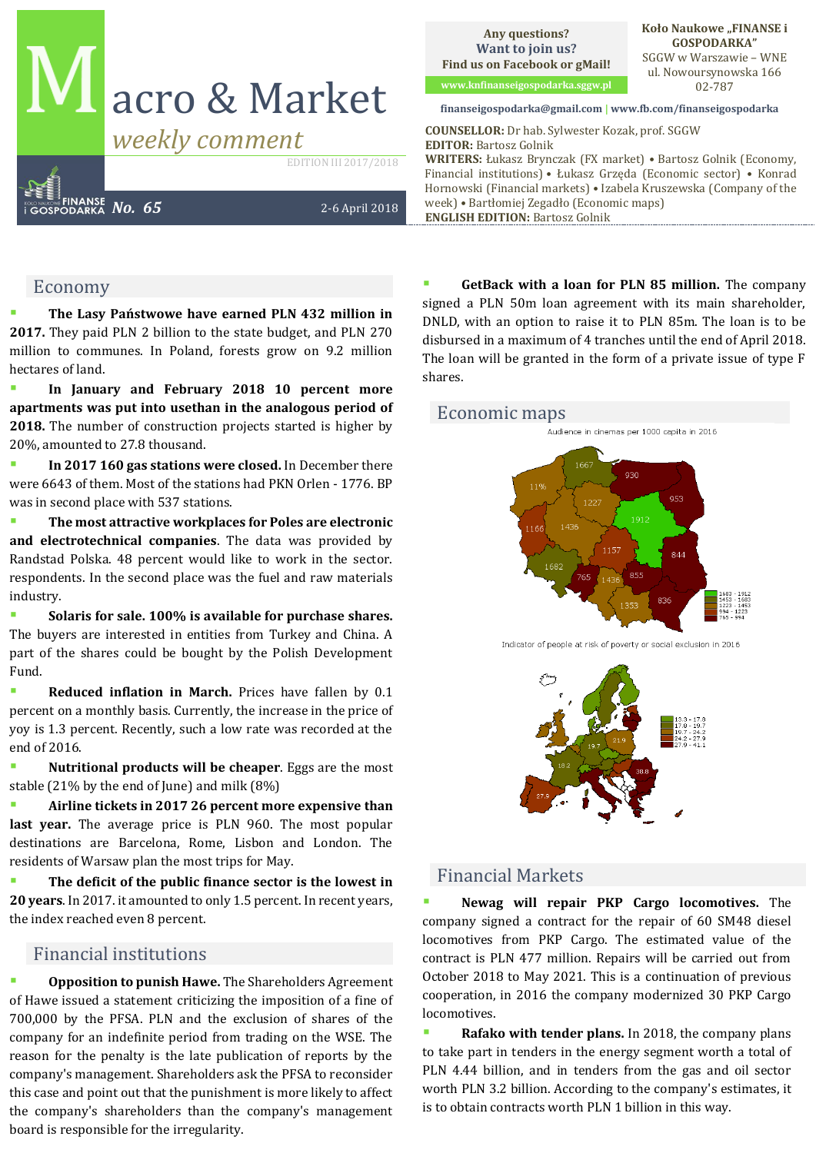# acro & Market

EDITION III 2017/2018

*No. 65* 2-6 April 2018

#### Economy

The Lasy Państwowe have earned PLN 432 million in **2017.** They paid PLN 2 billion to the state budget, and PLN 270 million to communes. In Poland, forests grow on 9.2 million hectares of land.

In January and February 2018 10 percent more **apartments was put into usethan in the analogous period of 2018.** The number of construction projects started is higher by 20%, amounted to 27.8 thousand.

In 2017 160 gas stations were closed. In December there were 6643 of them. Most of the stations had PKN Orlen - 1776. BP was in second place with 537 stations.

▪ **The most attractive workplaces for Poles are electronic and electrotechnical companies**. The data was provided by Randstad Polska. 48 percent would like to work in the sector. respondents. In the second place was the fuel and raw materials industry.

Solaris for sale. 100% is available for purchase shares. The buyers are interested in entities from Turkey and China. A part of the shares could be bought by the Polish Development Fund.

**Reduced inflation in March.** Prices have fallen by 0.1 percent on a monthly basis. Currently, the increase in the price of yoy is 1.3 percent. Recently, such a low rate was recorded at the end of 2016.

**Nutritional products will be cheaper**. Eggs are the most stable (21% by the end of June) and milk (8%)

▪ **Airline tickets in 2017 26 percent more expensive than last year.** The average price is PLN 960. The most popular destinations are Barcelona, Rome, Lisbon and London. The residents of Warsaw plan the most trips for May.

The deficit of the public finance sector is the lowest in **20 years**. In 2017. it amounted to only 1.5 percent. In recent years, the index reached even 8 percent.

#### Financial institutions

**Opposition to punish Hawe.** The Shareholders Agreement of Hawe issued a statement criticizing the imposition of a fine of 700,000 by the PFSA. PLN and the exclusion of shares of the company for an indefinite period from trading on the WSE. The reason for the penalty is the late publication of reports by the company's management. Shareholders ask the PFSA to reconsider this case and point out that the punishment is more likely to affect the company's shareholders than the company's management board is responsible for the irregularity.

**Any questions? Want to join us? Find us on Facebook or gMail!**

**www.knfinanseigospodarka.sggw.pl** 02-787

**Koło Naukowe "FINANSE i GOSPODARKA"** SGGW w Warszawie – WNE ul. Nowoursynowska 166

#### **finanseigospodarka@gmail.com | www.fb.com/finanseigospodarka**

*Weekly comment* **COUNSELLOR:** Dr hab. Sylwester Kozak, prof. SGGW **EDITOR:** Bartosz Golnik **WRITERS:** Łukasz Brynczak (FX market) • Bartosz Golnik (Economy, Financial institutions) • Łukasz Grzęda (Economic sector) • Konrad Hornowski (Financial markets) • Izabela Kruszewska (Company of the week) • Bartłomiej Zegadło (Economic maps) **ENGLISH EDITION:** Bartosz Golnik

> **GetBack with a loan for PLN 85 million.** The company signed a PLN 50m loan agreement with its main shareholder, DNLD, with an option to raise it to PLN 85m. The loan is to be disbursed in a maximum of 4 tranches until the end of April 2018. The loan will be granted in the form of a private issue of type F shares.

# Economic maps



Indicator of people at risk of poverty or social exclusion in 2016



## Financial Markets

▪ **Newag will repair PKP Cargo locomotives.** The company signed a contract for the repair of 60 SM48 diesel locomotives from PKP Cargo. The estimated value of the contract is PLN 477 million. Repairs will be carried out from October 2018 to May 2021. This is a continuation of previous cooperation, in 2016 the company modernized 30 PKP Cargo locomotives.

**Rafako with tender plans.** In 2018, the company plans to take part in tenders in the energy segment worth a total of PLN 4.44 billion, and in tenders from the gas and oil sector worth PLN 3.2 billion. According to the company's estimates, it is to obtain contracts worth PLN 1 billion in this way.